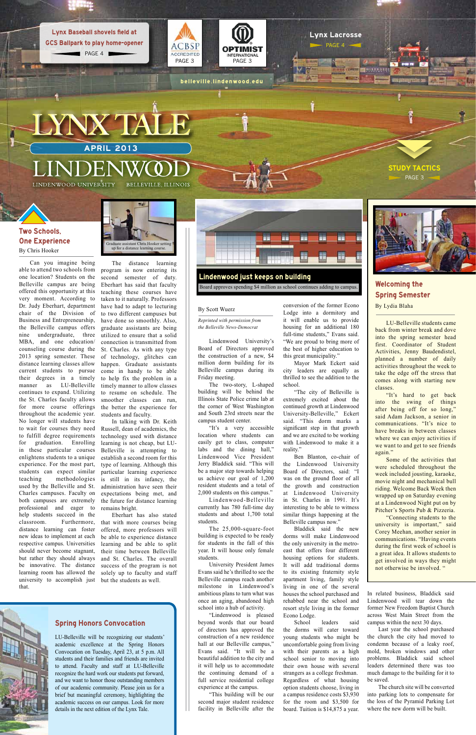conversion of the former Econo Lodge into a dormitory and it will enable us to provide housing for an additional 180 full-time students," Evans said. "We are proud to bring more of the best of higher education to this great municipality."

Mayor Mark Eckert said city leaders are equally as thrilled to see the addition to the school.

"The city of Belleville is extremely excited about the continued growth at Lindenwood University-Belleville," Eckert said. "This dorm marks a significant step in that growth and we are excited to be working with Lindenwood to make it a reality."

Ben Blanton, co-chair of the Lindenwood University Board of Directors, said: "I was on the ground floor of all the growth and construction at Lindenwood University in St. Charles in 1991. It's interesting to be able to witness similar things happening at the Belleville campus now."

Bladdick said the new dorms will make Lindenwood the only university in the metroeast that offers four different housing options for students. It will add traditional dorms to its existing fraternity style apartment living, family style living in one of the several houses the school purchased and rehabbed near the school and resort style living in the former Econo Lodge. School leaders said the dorms will cater toward young students who might be uncomfortable going from living with their parents as a high school senior to moving into their own house with several strangers as a college freshman. Regardless of what housing option students choose, living in a campus residence costs \$3,930 for the room and \$3,500 for board. Tuition is \$14,875 a year.



In related business, Bladdick said Lindenwood will tear down the former New Freedom Baptist Church across West Main Street from the campus within the next 30 days.

Last year the school purchased the church the city had moved to condemn because of a leaky roof, mold, broken windows and other problems. Bladdick said school leaders determined there was too much damage to the building for it to be saved.

The church site will be converted into parking lots to compensate for the loss of the Pyramid Parking Lot where the new dorm will be built.

The distance learning program is now entering its second semester of duty. Eberhart has said that faculty teaching these courses have taken to it naturally. Professors have had to adapt to lecturing to two different campuses but have done so smoothly. Also, graduate assistants are being utilized to ensure that a solid connection is transmitted from St. Charles. As with any type of technology, glitches can happen. Graduate assistants come in handy to be able to help fix the problem in a timely manner to allow classes to resume on schedule. The smoother classes can run, the better the experience for students and faculty.

In talking with Dr. Keith Russell, dean of academics, the technology used with distance learning is not cheap, but LU-Belleville is attempting to establish a second room for this type of learning. Although this particular learning experience is still in its infancy, the administration have seen their expectations being met, and the future for distance learning remains bright.

PAGE 3 **STUDY TACTICS** 

Eberhart has also stated that with more courses being offered, more professors will be able to experience distance learning and be able to split their time between Belleville and St. Charles. The overall success of the program is not solely up to faculty and staff but the students as well.

APRIL 2013 LYNX TALE

belleville.lindenwood.edu

LINDENWOOD UNIVERSITY

BELLEVILLE, ILLINOIS

#### By Scott Wuerz

*Reprinted with permission from the Belleville News-Democrat*

Lindenwood University's Board of Directors approved the construction of a new, \$4 million dorm building for its Belleville campus during its Friday meeting.

The two-story, L-shaped building will be behind the Illinois State Police crime lab at the corner of West Washington and South 23rd streets near the campus student center.

PAGE 4 Lynx Baseball shovels field at GCS Ballpark to play home-opener

> "It's a very accessible location where students can easily get to class, computer labs and the dining hall," Lindenwood Vice President Jerry Bladdick said. "This will be a major step towards helping us achieve our goal of 1,200 resident students and a total of 2,000 students on this campus."

> Lindenwood-Belleville currently has 780 full-time day students and about 1,700 total students.

> The 25,000-square-foot building is expected to be ready for students in the fall of this year. It will house only female students.

> University President James Evans said he's thrilled to see the Belleville campus reach another milestone in Lindenwood's ambitious plans to turn what was once an aging, abandoned high school into a hub of activity.

> "Lindenwood is pleased beyond words that our board of directors has approved the construction of a new residence hall at our Belleville campus," Evans said. "It will be a beautiful addition to the city and it will help us to accommodate the continuing demand of a full service residential college experience at the campus.

"This building will be our second major student residence facility in Belleville after the



Can you imagine being able to attend two schools from one location? Students on the Belleville campus are being offered this opportunity at this very moment. According to Dr. Judy Eberhart, department chair of the Division of Business and Entrepreneurship, the Belleville campus offers nine undergraduate, three MBA, and one education/ counseling course during the 2013 spring semester. These distance learning classes allow current students to pursue their degrees in a timely manner as LU-Belleville continues to expand. Utilizing the St. Charles faculty allows for more course offerings throughout the academic year. No longer will students have to wait for courses they need to fulfill degree requirements for graduation. Enrolling in these particular courses enlightens students to a unique experience. For the most part, students can expect similar teaching methodologies used by the Belleville and St. Charles campuses. Faculty on both campuses are extremely professional and eager to help students succeed in the classroom. Furthermore, distance learning can foster new ideas to implement at each respective campus. Universities should never become stagnant, but rather they should always be innovative. The distance learning room has allowed the university to accomplish just that.



# Welcoming the Spring Semester By Lydia Blaha

LU-Belleville students came back from winter break and dove into the spring semester head first. Coordinator of Student Activities, Jenny Baudendistel, planned a number of daily activities throughout the week to take the edge off the stress that comes along with starting new classes.

"It's hard to get back into the swing of things after being off for so long," said Adam Jackson, a senior in communications. "It's nice to have breaks in between classes where we can enjoy activities if we want to and get to see friends again."

Some of the activities that were scheduled throughout the week included jousting, karaoke, movie night and mechanical bull riding. Welcome Back Week then wrapped up on Saturday evening at a Lindenwood Night put on by Pitcher's Sports Pub & Pizzeria.

"Connecting students to the university is important," said Corey Meehan, another senior in communications. "Having events during the first week of school is a great idea. It allows students to get involved in ways they might not otherwise be involved. "







Lynx Lacrosse PAGE 4

**The PS** 

Board approves spending \$4 million as school continues adding to campus.

## Spring Honors Convocation

LU-Belleville will be recognizing our students' academic excellence at the Spring Honors Convocation on Tuesday, April 23, at 5 p.m. All students and their families and friends are invited to attend. Faculty and staff at LU-Belleville recognize the hard work our students put forward, and we want to honor those outstanding members of our academic community. Please join us for a brief but meaningful ceremony, highlighting the academic success on our campus. Look for more details in the next edition of the Lynx Tale.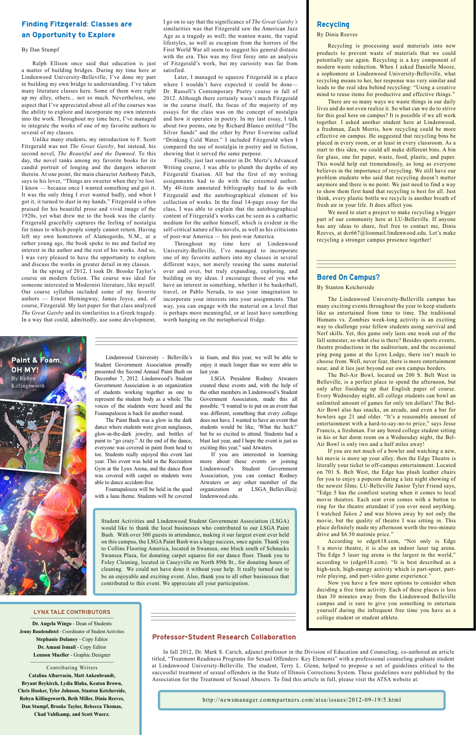The Lindenwood University-Belleville campus has many exciting events throughout the year to keep students like us entertained from time to time. The traditional Humans vs. Zombies week-long activity is an exciting way to challenge your fellow students using survival and Nerf skills. Yet, this game only lasts one week out of the fall semester, so what else is there? Besides sports events, theatre productions in the auditorium, and the occasional ping pong game at the Lynx Lodge, there isn't much to choose from. Well, never fear, there is more entertainment near, and it lies just beyond our own campus borders.

The Bel-Air Bowl, located on 200 S. Belt West in Belleville, is a perfect place to spend the afternoon, but only after finishing up that English paper of course. Every Wednesday night, all college students can bowl an unlimited amount of games for only ten dollars! The Bel-Air Bowl also has snacks, an arcade, and even a bar for bowlers age 21 and older. "It's a reasonable amount of entertainment with a hard-to-say-no-to price," says Jesse Francis, a freshman. For any bored college student sitting in his or her dorm room on a Wednesday night, the Bel-Air Bowl is only two and a half miles away!

If you are not much of a bowler and watching a new, hit movie is more up your alley, then the Edge Theatre is literally your ticket to off-campus entertainment. Located on 701 S. Belt West, the Edge has plush leather chairs for you to enjoy a popcorn during a late night showing of the newest films. LU-Belleville Junior Tyler Friend says, "Edge 5 has the comfiest seating when it comes to local movie theatres. Each seat even comes with a button to ring for the theatre attendant if you ever need anything. I watched *Taken 2* and was blown away by not only the movie, but the quality of theatre I was sitting in. This place definitely made my afternoon worth the two-minute drive and \$6.50 matinée price."

According to edge618.com, "Not only is Edge 5 a movie theatre, it is also an indoor laser tag arena. The Edge 5 laser tag arena is the largest in the world," according to (edge618.com). "It is best described as a high-tech, high-energy activity which is part-sport, partrole playing, and part-video game experience." Now you have a few more options to consider when deciding a free time activity. Each of these places is less than 30 minutes away from the Lindenwood Belleville campus and is sure to give you something to entertain yourself during the infrequent free time you have as a college student or student athlete.

# Bored On Campus?

### By Stanton Ketcherside

Lindenwood University – Belleville's Student Government Association proudly presented the Second Annual Paint Bash on December 7, 2012. Lindenwood's Student Government Association is an organization of students working together as one to represent the student body as a whole. The voices of the students were heard and the Foamapalooza is back for another round.

The Paint Bash was a glow in the dark dance where students were given sunglasses, glow-in-the-dark jewelry, and bottles of paint to "go crazy." At the end of the dance, everyone was covered in paint from head to toe. Students really enjoyed this event last year. This event was held in the Recreation Gym at the Lynx Arena, and the dance floor was covered with carpet so students were able to dance accident-free.

Foamapalooza will be held in the quad with a luau theme. Students will be covered in foam, and this year, we will be able to enjoy it much longer than we were able to last year.

LSGA President Rodney Atwaters created these events and, with the help of the other members in Lindenwood's Student Government Association, made this all possible. "I wanted to to put on an event that was different, something that every college does not have. I wanted to have an event that students would be like, 'What the heck?' but be so excited to attend. Students had a blast last year, and I hope the event is just as exciting this year," said Atwaters.

If you are interested in learning more about these events or joining Lindenwood's Student Government Association, you can contact Rodney Atwaters or any other member of the organization at LSGA Belleville@ lindenwood.edu.



Student Activities and Lindenwood Student Government Association (LSGA) would like to thank the local businesses who contributed to our LSGA Paint Bash. With over 300 guests in attendance, making it our largest event ever held on this campus, the LSGA Paint Bash was a huge success, once again. Thank you to Collins Flooring America, located in Swansea, one block south of Schnucks Swansea Plaza, for donating carpet squares for our dance floor. Thank you to Foley Cleaning, located in Caseyville on North 89th St., for donating hours of cleaning. We could not have done it without your help. It really turned out to be an enjoyable and exciting event. Also, thank you to all other businesses that contributed to this event. We appreciate all your participation.

**Dr. Angela Wingo** - Dean of Students **Jenny Baudendistel** - Coordinator of Student Activities **Stephanie Dulaney** - Copy Editor **Dr. Amani Ismail** - Copy Editor **Lennon Mueller** - Graphic Designer

Contributing Writers **Catalina Albarracin, Matt Ankenbrandt, Bryant Beykirch, Lydia Blaha, Keaton Brown, Chris Hooker, Tyler Johnson, Stanton Ketcherside, Robyn Killingsworth, Beth Miller, Dinia Reeves, Dan Stumpf, Brooke Taylor, Rebecca Thomas, Chad Vahlkamp, and Scott Wuerz.**

#### LYNX TALE CONTRIBUTORS

# Recycling

#### By Dinia Reeves

Recycling is processing used materials into new products to prevent waste of materials that we could potentially use again. Recycling is a key component of modern waste reduction. When I asked Danielle Moore, a sophomore at Lindenwood University-Belleville, what recycling means to her, her response was very similar and leads to the real idea behind recycling: "Using a creative mind to reuse items for productive and effective things."

There are so many ways we waste things in our daily lives and do not even realize it. So what can we do to strive for this goal here on campus? It is possible if we all work together. I asked another student here at Lindenwood, a freshman, Zach Morris, how recycling could be more effective on campus. He suggested that recycling bins be placed in every room, or at least in every classroom. As a start to this idea, we could all make different bins. A bin for glass, one for paper, waste, food, plastic, and paper. This would help out tremendously, as long as everyone believes in the importance of recycling. We still have our problem students who said that recycling doesn't matter anymore and there is no point. We just need to find a way to show them first hand that recycling is best for all. Just think, every plastic bottle we recycle is another breath of fresh air in your life. It does affect you.

We need to start a project to make recycling a bigger part of our community here at LU-Belleville. If anyone has any ideas to share, feel free to contact me, Dinia Reeves, at dcr667@lionmail.lindenwood.edu. Let's make recycling a stronger campus presence together!

# Finding Fitzgerald: Classes are an Opportunity to Explore

#### By Dan Stumpf

Ralph Ellison once said that education is just a matter of building bridges. During my time here at Lindenwood University-Belleville, I've done my part in building my own bridge to understanding. I've taken many literature classes here. Some of them were right up my alley, others... not so much. Nevertheless, one aspect that I've appreciated about all of the courses was the ability to explore and incorporate my own interests into the work. Throughout my time here, I've managed to integrate the works of one of my favorite authors to several of my classes.

Unlike many students, my introduction to F. Scott Fitzgerald was not *The Great Gatsby*, but instead, his second novel, *The Beautiful and the Damned*. To this day, the novel ranks among my favorite books for its candid portrait of longing and the dangers inherent therein. At one point, the main character Anthony Patch, says to his lover, "Things are sweeter when they're lost. I know — because once I wanted something and got it. It was the only thing I ever wanted badly, and when I got it, it turned to dust in my hands." Fitzgerald is often praised for his beautiful prose and vivid image of the 1920s, yet what drew me to the book was the clarity. Fitzgerald gracefully captures the feeling of nostalgia for times to which people simply cannot return. Having left my own hometown of Alamogordo, N.M., at a rather young age, the book spoke to me and fueled my interest in the author and the rest of his works. And so, I was very pleased to have the opportunity to explore and discuss the works in greater detail in my classes.

In the spring of 2012, I took Dr. Brooke Taylor's course on modern fiction. The course was ideal for someone interested in Modernist literature, like myself. Our course syllabus included some of my favorite authors — Ernest Hemingway, James Joyce, and, of course, Fitzgerald. My last paper for that class analyzed *The Great Gatsby* and its similarities to a Greek tragedy. In a way that could, admittedly, use some development,

I go on to say that the significance of *The Great Gatsby's* similarities was that Fitzgerald saw the American Jazz Age as a tragedy as well; the wanton waste, the vapid lifestyles, as well as escapism from the horrors of the First World War all seem to suggest his general distaste with the era. This was my first foray into an analysis of Fitzgerald's work, but my curiosity was far from satisfied.

Later, I managed to squeeze Fitzgerald in a place where I wouldn't have expected it could be done— Dr. Russell's Contemporary Poetry course in fall of 2012. Although there certainly wasn't much Fitzgerald in the course itself, the focus of the majority of my essays for the class was on the concept of nostalgia and how it operates in poetry. In my last essay, I talk about two poems, one by Richard Blanco entitled "The Silver Sands" and the other by Peter Everwine called "Drinking Cold Water." I included Fitzgerald when I compared the use of nostalgia in poetry and in fiction, showing that it served the same purpose.

Finally, just last semester in Dr. Mertz's Advanced Writing course, I was able to plumb the depths of my Fitzgerald fixation. All but the first of my writing assignments had to do with the esteemed author. My 40-item annotated bibliography had to do with Fitzgerald and the autobiographical element of his collection of works. In the final 14-page essay for the class, I was able to explain that the autobiographical content of Fitzgerald's works can be seen as a cathartic medium for the author himself, which is evident in the self-critical nature of his novels, as well as his criticisms of post-war America — his post-war America.

Throughout my time here at Lindenwood University-Belleville, I've managed to incorporate one of my favorite authors into my classes in several different ways, not merely reusing the same material over and over, but truly expanding, exploring, and building on my ideas. I encourage those of you who have an interest in something, whether it be basketball, travel, or Pablo Neruda, to use your imagination to incorporate your interests into your assignments. That way, you can engage with the material on a level that is perhaps more meaningful, or at least have something worth hanging on the metaphorical fridge.

## Professor-Student Research Collaboration

In fall 2012, Dr. Mark S. Carich, adjunct professor in the Division of Education and Counseling, co-authored an article titled, "Treatment Readiness Programs for Sexual Offenders: Key Elements" with a professional counseling graduate student at Lindenwood University-Belleville. The student, Terry L. Glenn, helped to propose a set of guidelines critical to the successful treatment of sexual offenders in the State of Illinois Corrections System. These guidelines were published by the Association for the Treatment of Sexual Abusers. To find this article in full, please visit the ATSA website at:

http://newsmanager.commpartners.com/atsa/issues/2012-09-19/5.html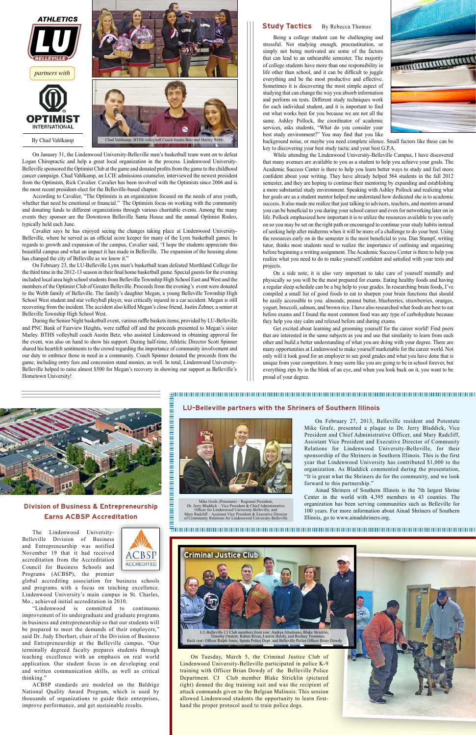On January 31, the Lindenwood University-Belleville men's basketball team went on to defeat Logan Chiropractic and help a great local organization in the process. Lindenwood University-Belleville sponsored the Optimist Club at the game and donated profits from the game to the childhood cancer campaign. Chad Vahlkamp, an LCIE admissions counselor, interviewed the newest president from the Optimists, Rick Cavalier. Cavalier has been involved with the Optimists since 2006 and is the most recent president-elect for the Belleville-based chapter.

According to Cavalier, "The Optimists is an organization focused on the needs of area youth, whether that need be emotional or financial." The Optimists focus on working with the community and donating funds to different organizations through various charitable events. Among the many events they sponsor are the Downtown Belleville Santa House and the annual Optimist Rodeo, typically held each June.

Cavalier says he has enjoyed seeing the changes taking place at Lindenwood University-Belleville, where he served as an official score keeper for many of the Lynx basketball games. In regards to growth and expansion of the campus, Cavalier said, "I hope the students appreciate this beautiful campus and what an impact it has made in Belleville. The expansion of the housing alone has changed the city of Belleville as we know it."

The Lindenwood University-Belleville Division of Busines



On February 23, the LU-Belleville Lynx men's basketball team defeated Morthland College for the third time in the 2012-13 season in their final home basketball game. Special guests for the evening included local area high school students from Belleville Township High School East and West and the members of the Optimist Club of Greater Belleville. Proceeds from the evening's event were donated to the Webb family of Belleville. The family's daughter Megan, a young Belleville Township High School West student and star volleyball player, was critically injured in a car accident. Megan is still recovering from the incident. The accident also killed Megan's close friend, Justin Zehner, a senior at Belleville Township High School West.

During the Senior Night basketball event, various raffle baskets items, provided by LU-Belleville and PNC Bank of Fairview Heights, were raffled off and the proceeds presented to Megan's sister Marley. BTHS volleyball coach Austin Betz, who assisted Lindenwood in obtaining approval for the event, was also on hand to show his support. During half-time, Athletic Director Scott Spinner shared his heartfelt sentiments to the crowd regarding the importance of community involvement and our duty to embrace those in need as a community. Coach Spinner donated the proceeds from the game, including entry fees and concession stand monies, as well. In total, Lindenwood University-Belleville helped to raise almost \$500 for Megan's recovery in showing our support as Belleville's Hometown University!

## **Study Tactics** By Rebecca Thomas

and Entrepreneurship was notified November 19 that it had received accreditation from the Accreditation Council for Business Schools and Programs (ACBSP), the premier

global accrediting association for business schools and programs with a focus on teaching excellence. Lindenwood University's main campus in St. Charles, Mo., achieved initial accreditation in 2010.

"Lindenwood is committed to continuous improvement of its undergraduate and graduate programs in business and entrepreneurship so that our students will be prepared to meet the demands of their employers," said Dr. Judy Eberhart, chair of the Division of Business and Entrepreneurship at the Belleville campus. "Our terminally degreed faculty prepares students through teaching excellence with an emphasis on real world application. Our student focus is on developing oral and written communication skills, as well as critical thinking."

ACBSP standards are modeled on the Baldrige National Quality Award Program, which is used by thousands of organizations to guide their enterprises, improve performance, and get sustainable results.

Being a college student can be challenging and stressful. Not studying enough, procrastination, or simply not being motivated are some of the factors that can lead to an unbearable semester. The majority of college students have more than one responsibility in life other than school, and it can be difficult to juggle everything and be the most productive and effective. Sometimes it is discovering the most simple aspect of studying that can change the way you absorb information and perform on tests. Different study techniques work for each individual student, and it is important to find out what works best for you because we are not all the same. Ashley Pollock, the coordinator of academic services, asks students, "What do you consider your best study environment?" You may find that you like background noise, or maybe you need complete silence. Small factors like these can be key to discovering your best study tactic and your best G.P.A.



While attending the Lindenwood University-Belleville Campus, I have discovered that many avenues are available to you as a student to help you achieve your goals. The Academic Success Center is there to help you learn better ways to study and feel more confident about your writing. They have already helped 564 students in the fall 2012 semester, and they are hoping to continue their mentoring by expanding and establishing a more substantial study environment. Speaking with Ashley Pollock and realizing what her goals are as a student mentor helped me understand how dedicated she is to academic success. It also made me realize that just talking to advisors, teachers, and mentors around you can be beneficial to you during your school career and even for networking later on in life. Pollock emphasized how important it is to utilize the resources available to you early on so you may be set on the right path or encouraged to continue your study habits instead of seeking help after midterms when it will be more of a challenge to do your best. Using the resources early on in the semester is the most beneficial to you. Dan Stumpf, writing tutor, thinks most students need to realize the importance of outlining and organizing before beginning a writing assignment. The Academic Success Center is there to help you realize what you need to do to make yourself confident and satisfied with your tests and projects.

On a side note, it is also very important to take care of yourself mentally and physically so you will be the most prepared for exams. Eating healthy foods and having a regular sleep schedule can be a big help to your grades. In researching brain foods, I've compiled a small list of good foods to eat to sharpen your brain functions that should be easily accessible to you: almonds, peanut butter, blueberries, strawberries, oranges, yogurt, broccoli, salmon, and brown rice. I have also researched what foods are best to eat before exams and I found the most common food was any type of carbohydrate because they help you stay calm and relaxed before and during exams.

Get excited about learning and grooming yourself for the career world! Find peers that are interested in the same subjects as you and use that similarity to learn from each other and build a better understanding of what you are doing with your degree. There are many opportunities at Lindenwood to make yourself marketable for the career world. Not only will it look good for an employer to see good grades and what you have done that is unique from your competitors. It may seem like you are going to be in school forever, but everything zips by in the blink of an eye, and when you look back on it, you want to be proud of your degree.

> On February 27, 2013, Belleville resident and Potentate Mike Grafe, presented a plaque to Dr. Jerry Bladdick, Vice President and Chief Administrative Officer, and Mary Radcliff, Assistant Vice President and Executive Director of Community Relations for Lindenwood University-Belleville, for their sponsorship of the Shriners in Southern Illinois. This is the first year that Lindenwood University has contributed \$1,000 to the organization. As Bladdick commented during the presentation, "It is great what the Shriners do for the community, and we look forward to this partnership."

> Ainad Shriners of Southern Illinois is the 7th largest Shrine Center in the world with 4,395 members in 43 counties. The organization has been serving communities such as Belleville for 100 years. For more information about Ainad Shriners of Southern Illinois, go to www.ainadshriners.org.



Division of Business & Entrepreneurship Earns ACBSP Accreditation

# LU-Belleville partners with the Shriners of Southern Illinois



Mike Grafe (Potentate) – Regional President,<br>Dr. Jerry Bladdick – Vice President & Chief Administrative<br>Officer for Lindenwood University-Belleville, and<br>Mary Radcliff – Assistant Vice President & Executive Director<br>of Com



On Tuesday, March 5, the Criminal Justice Club of Lindenwood University-Belleville participated in police K-9 training with Officer Brian Dowdy of the Belleville Police Department. CJ Club member Blake Stricklin (pictured right) donned the dog training suit and was the recipient of attack commands given to the Belgian Malinois. This session allowed Lindenwood students the opportunity to learn firsthand the proper protocol used to train police dogs.

Criminal Justice Club

LU-Belleville CJ Club members front row: Andrea Altadonna, Blake Stricklin, Timothy Onstott, Ruben Rivas, Lauren Helsly, and Rodney Troutman. Back row: Officer Ralph Jones, Sparta Police Dept. and Belleville Police Officer Brian Dowdy